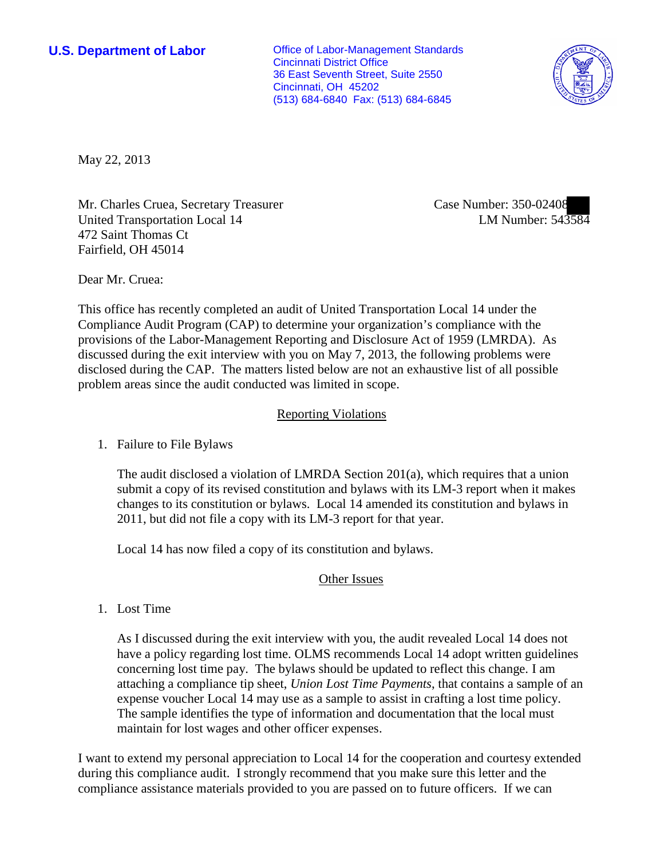**U.S. Department of Labor Office of Labor-Management Standards** Cincinnati District Office 36 East Seventh Street, Suite 2550 Cincinnati, OH 45202 (513) 684-6840 Fax: (513) 684-6845



May 22, 2013

Mr. Charles Cruea, Secretary Treasurer United Transportation Local 14 472 Saint Thomas Ct Fairfield, OH 45014

Case Number: 350-02408 LM Number: 543584

Dear Mr. Cruea:

This office has recently completed an audit of United Transportation Local 14 under the Compliance Audit Program (CAP) to determine your organization's compliance with the provisions of the Labor-Management Reporting and Disclosure Act of 1959 (LMRDA). As discussed during the exit interview with you on May 7, 2013, the following problems were disclosed during the CAP. The matters listed below are not an exhaustive list of all possible problem areas since the audit conducted was limited in scope.

## Reporting Violations

1. Failure to File Bylaws

The audit disclosed a violation of LMRDA Section 201(a), which requires that a union submit a copy of its revised constitution and bylaws with its LM-3 report when it makes changes to its constitution or bylaws. Local 14 amended its constitution and bylaws in 2011, but did not file a copy with its LM-3 report for that year.

Local 14 has now filed a copy of its constitution and bylaws.

## Other Issues

1. Lost Time

As I discussed during the exit interview with you, the audit revealed Local 14 does not have a policy regarding lost time. OLMS recommends Local 14 adopt written guidelines concerning lost time pay. The bylaws should be updated to reflect this change. I am attaching a compliance tip sheet, *Union Lost Time Payments*, that contains a sample of an expense voucher Local 14 may use as a sample to assist in crafting a lost time policy. The sample identifies the type of information and documentation that the local must maintain for lost wages and other officer expenses.

I want to extend my personal appreciation to Local 14 for the cooperation and courtesy extended during this compliance audit. I strongly recommend that you make sure this letter and the compliance assistance materials provided to you are passed on to future officers. If we can